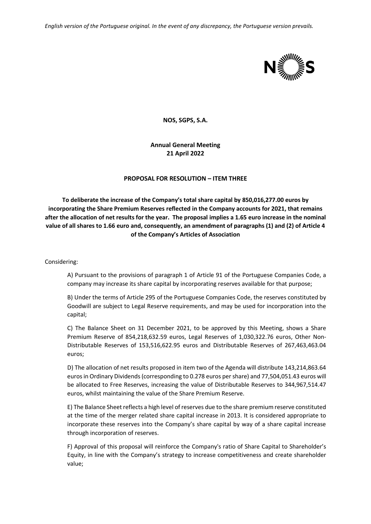*English version of the Portuguese original. In the event of any discrepancy, the Portuguese version prevails.*



**NOS, SGPS, S.A.**

**Annual General Meeting 21 April 2022**

## **PROPOSAL FOR RESOLUTION – ITEM THREE**

**To deliberate the increase of the Company's total share capital by 850,016,277.00 euros by incorporating the Share Premium Reserves reflected in the Company accounts for 2021, that remains after the allocation of net results for the year. The proposal implies a 1.65 euro increase in the nominal value of all shares to 1.66 euro and, consequently, an amendment of paragraphs (1) and (2) of Article 4 of the Company's Articles of Association**

Considering:

A) Pursuant to the provisions of paragraph 1 of Article 91 of the Portuguese Companies Code, a company may increase its share capital by incorporating reserves available for that purpose;

B) Under the terms of Article 295 of the Portuguese Companies Code, the reserves constituted by Goodwill are subject to Legal Reserve requirements, and may be used for incorporation into the capital;

C) The Balance Sheet on 31 December 2021, to be approved by this Meeting, shows a Share Premium Reserve of 854,218,632.59 euros, Legal Reserves of 1,030,322.76 euros, Other Non-Distributable Reserves of 153,516,622.95 euros and Distributable Reserves of 267,463,463.04 euros;

D) The allocation of net results proposed in item two of the Agenda will distribute 143,214,863.64 euros in Ordinary Dividends (corresponding to 0.278 euros per share) and 77,504,051.43 euros will be allocated to Free Reserves, increasing the value of Distributable Reserves to 344,967,514.47 euros, whilst maintaining the value of the Share Premium Reserve.

E) The Balance Sheet reflects a high level of reserves due to the share premium reserve constituted at the time of the merger related share capital increase in 2013. It is considered appropriate to incorporate these reserves into the Company's share capital by way of a share capital increase through incorporation of reserves.

F) Approval of this proposal will reinforce the Company's ratio of Share Capital to Shareholder's Equity, in line with the Company's strategy to increase competitiveness and create shareholder value;